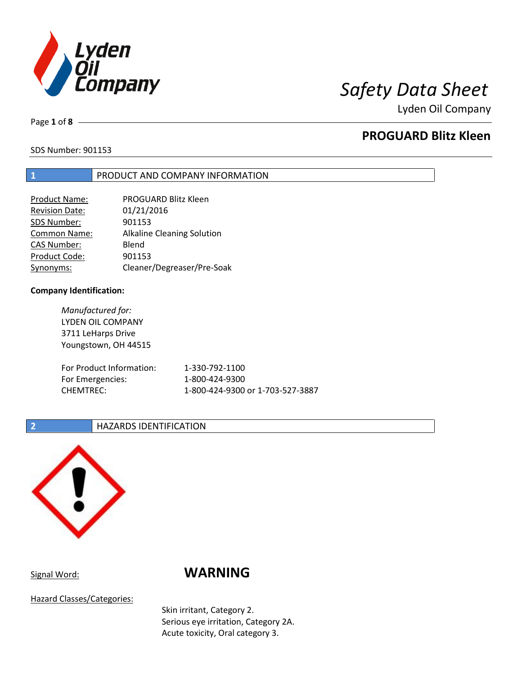

Lyden Oil Company

Page **1** of **8**

# **PROGUARD Blitz Kleen**

SDS Number: 901153

### **1** PRODUCT AND COMPANY INFORMATION

| Product Name:         | PROGUARD Blitz Kleen              |
|-----------------------|-----------------------------------|
| <b>Revision Date:</b> | 01/21/2016                        |
| SDS Number:           | 901153                            |
| <b>Common Name:</b>   | <b>Alkaline Cleaning Solution</b> |
| <b>CAS Number:</b>    | Blend                             |
| Product Code:         | 901153                            |
| Synonyms:             | Cleaner/Degreaser/Pre-Soak        |

### **Company Identification:**

*Manufactured for:* LYDEN OIL COMPANY 3711 LeHarps Drive Youngstown, OH 44515 For Product Information: 1-330-792-1100 For Emergencies: 1-800-424-9300 CHEMTREC: 1-800-424-9300 or 1-703-527-3887

### **2 HAZARDS IDENTIFICATION**



# Signal Word: **WARNING**

Hazard Classes/Categories:

Skin irritant, Category 2. Serious eye irritation, Category 2A. Acute toxicity, Oral category 3.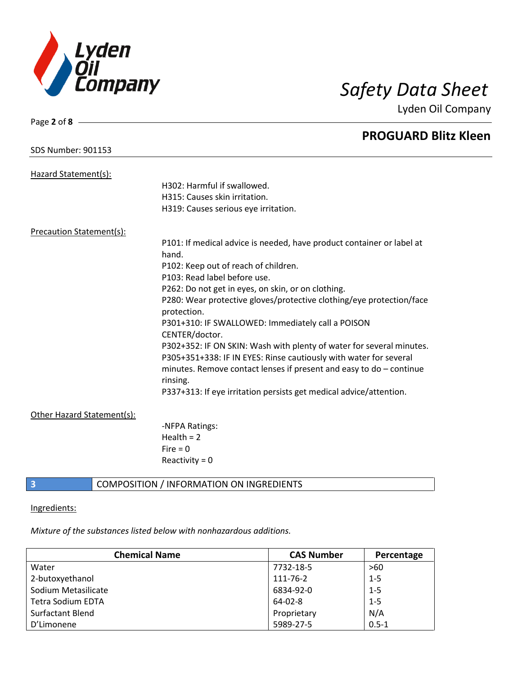

Page **2** of **8**

Lyden Oil Company

|                                 |                            | <b>PROGUARD Blitz Kleen</b>                                                         |
|---------------------------------|----------------------------|-------------------------------------------------------------------------------------|
| <b>SDS Number: 901153</b>       |                            |                                                                                     |
| Hazard Statement(s):            |                            |                                                                                     |
|                                 |                            | H302: Harmful if swallowed.                                                         |
|                                 |                            | H315: Causes skin irritation.                                                       |
|                                 |                            | H319: Causes serious eye irritation.                                                |
| <b>Precaution Statement(s):</b> |                            |                                                                                     |
|                                 |                            | P101: If medical advice is needed, have product container or label at               |
|                                 |                            | hand.                                                                               |
|                                 |                            | P102: Keep out of reach of children.                                                |
|                                 |                            | P103: Read label before use.                                                        |
|                                 |                            | P262: Do not get in eyes, on skin, or on clothing.                                  |
|                                 |                            | P280: Wear protective gloves/protective clothing/eye protection/face<br>protection. |
|                                 |                            | P301+310: IF SWALLOWED: Immediately call a POISON<br>CENTER/doctor.                 |
|                                 |                            | P302+352: IF ON SKIN: Wash with plenty of water for several minutes.                |
|                                 |                            | P305+351+338: IF IN EYES: Rinse cautiously with water for several                   |
|                                 |                            | minutes. Remove contact lenses if present and easy to $do$ – continue<br>rinsing.   |
|                                 |                            | P337+313: If eye irritation persists get medical advice/attention.                  |
|                                 | Other Hazard Statement(s): |                                                                                     |
|                                 |                            | -NFPA Ratings:                                                                      |
|                                 |                            | Health = $2$                                                                        |
|                                 |                            | $Fire = 0$                                                                          |
|                                 |                            | Reactivity = $0$                                                                    |
| 3                               |                            | COMPOSITION / INFORMATION ON INGREDIENTS                                            |

# Ingredients:

*Mixture of the substances listed below with nonhazardous additions.*

| <b>Chemical Name</b>     | <b>CAS Number</b> | Percentage |
|--------------------------|-------------------|------------|
| Water                    | 7732-18-5         | >60        |
| 2-butoxyethanol          | 111-76-2          | $1 - 5$    |
| Sodium Metasilicate      | 6834-92-0         | $1 - 5$    |
| <b>Tetra Sodium EDTA</b> | $64 - 02 - 8$     | $1 - 5$    |
| <b>Surfactant Blend</b>  | Proprietary       | N/A        |
| D'Limonene               | 5989-27-5         | $0.5 - 1$  |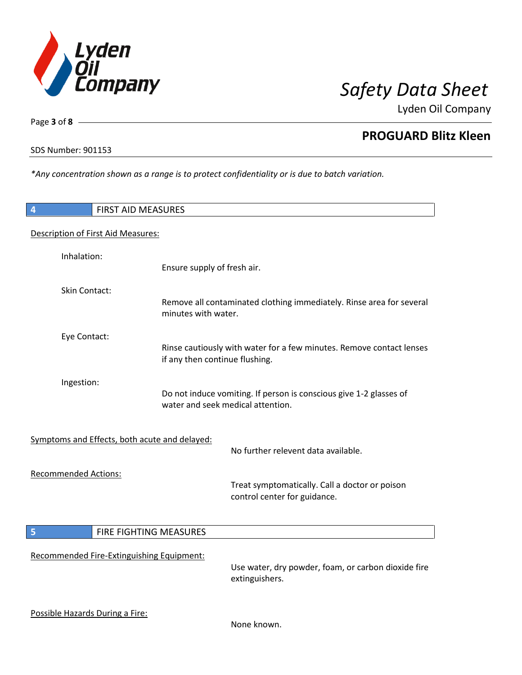

Lyden Oil Company

SDS Number: 901153

Page **3** of **8**

**PROGUARD Blitz Kleen**

*\*Any concentration shown as a range is to protect confidentiality or is due to batch variation.*

| FIRST AID MEASURES<br>4                                                                                               |                                                                                                        |
|-----------------------------------------------------------------------------------------------------------------------|--------------------------------------------------------------------------------------------------------|
| Description of First Aid Measures:                                                                                    |                                                                                                        |
| Inhalation:                                                                                                           | Ensure supply of fresh air.                                                                            |
| <b>Skin Contact:</b>                                                                                                  | Remove all contaminated clothing immediately. Rinse area for several<br>minutes with water.            |
| Eye Contact:                                                                                                          | Rinse cautiously with water for a few minutes. Remove contact lenses<br>if any then continue flushing. |
| Ingestion:<br>Do not induce vomiting. If person is conscious give 1-2 glasses of<br>water and seek medical attention. |                                                                                                        |
| Symptoms and Effects, both acute and delayed:                                                                         | No further relevent data available.                                                                    |
| <b>Recommended Actions:</b>                                                                                           | Treat symptomatically. Call a doctor or poison<br>control center for guidance.                         |
| 5<br>FIRE FIGHTING MEASURES                                                                                           |                                                                                                        |
| Recommended Fire-Extinguishing Equipment:                                                                             | Use water, dry powder, foam, or carbon dioxide fire<br>extinguishers.                                  |
| Possible Hazards During a Fire:                                                                                       | None known.                                                                                            |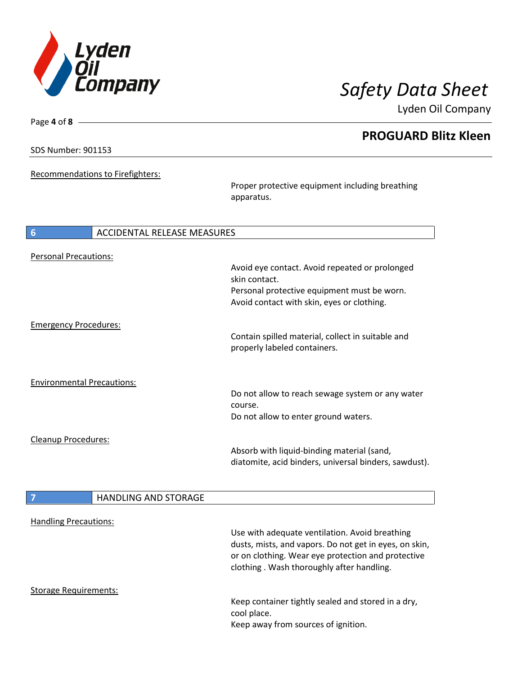

**PROGUARD Blitz Kleen**

Lyden Oil Company

SDS Number: 901153

Page **4** of **8**

Recommendations to Firefighters:

Proper protective equipment including breathing apparatus.

| 6<br>ACCIDENTAL RELEASE MEASURES  |                                                       |
|-----------------------------------|-------------------------------------------------------|
| <b>Personal Precautions:</b>      |                                                       |
|                                   | Avoid eye contact. Avoid repeated or prolonged        |
|                                   | skin contact.                                         |
|                                   | Personal protective equipment must be worn.           |
|                                   | Avoid contact with skin, eyes or clothing.            |
| <b>Emergency Procedures:</b>      |                                                       |
|                                   | Contain spilled material, collect in suitable and     |
|                                   | properly labeled containers.                          |
|                                   |                                                       |
| <b>Environmental Precautions:</b> |                                                       |
|                                   | Do not allow to reach sewage system or any water      |
|                                   | course.                                               |
|                                   | Do not allow to enter ground waters.                  |
| Cleanup Procedures:               |                                                       |
|                                   | Absorb with liquid-binding material (sand,            |
|                                   | diatomite, acid binders, universal binders, sawdust). |
|                                   |                                                       |
| <b>HANDLING AND STORAGE</b>       |                                                       |

| <b>Handling Precautions:</b> |                                                                                                                                                                                                             |
|------------------------------|-------------------------------------------------------------------------------------------------------------------------------------------------------------------------------------------------------------|
|                              | Use with adequate ventilation. Avoid breathing<br>dusts, mists, and vapors. Do not get in eyes, on skin,<br>or on clothing. Wear eye protection and protective<br>clothing. Wash thoroughly after handling. |
| Storage Requirements:        |                                                                                                                                                                                                             |
|                              | Keep container tightly sealed and stored in a dry,<br>cool place.<br>Keep away from sources of ignition.                                                                                                    |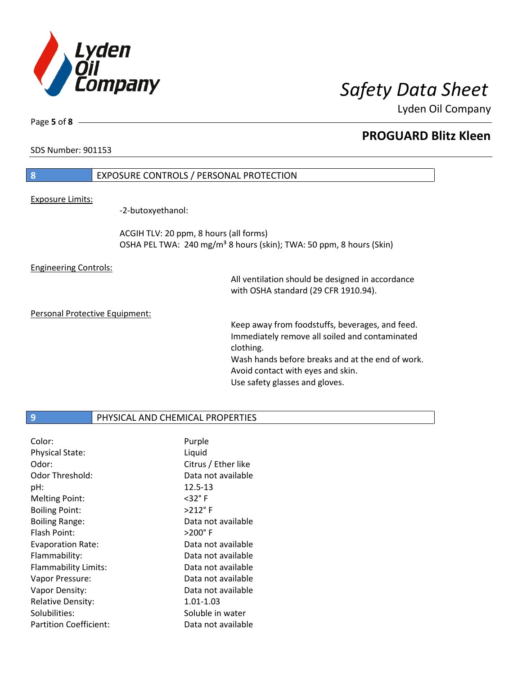

Lyden Oil Company

Page **5** of **8**

# **PROGUARD Blitz Kleen**

SDS Number: 901153

# **8** EXPOSURE CONTROLS / PERSONAL PROTECTION Exposure Limits:

-2-butoxyethanol:

ACGIH TLV: 20 ppm, 8 hours (all forms) OSHA PEL TWA: 240 mg/m<sup>3</sup> 8 hours (skin); TWA: 50 ppm, 8 hours (Skin)

Engineering Controls:

All ventilation should be designed in accordance with OSHA standard (29 CFR 1910.94).

Personal Protective Equipment:

Keep away from foodstuffs, beverages, and feed. Immediately remove all soiled and contaminated clothing. Wash hands before breaks and at the end of work. Avoid contact with eyes and skin. Use safety glasses and gloves.

### **9** PHYSICAL AND CHEMICAL PROPERTIES

| Color:                   | Purple              |
|--------------------------|---------------------|
| <b>Physical State:</b>   | Liquid              |
| Odor:                    | Citrus / Ether like |
| Odor Threshold:          | Data not available  |
| pH:                      | 12.5-13             |
| <b>Melting Point:</b>    | $<$ 32° F           |
| <b>Boiling Point:</b>    | $>212$ °F           |
| <b>Boiling Range:</b>    | Data not available  |
| Flash Point:             | $>$ 200° F          |
| <b>Evaporation Rate:</b> | Data not available  |
| Flammability:            | Data not available  |
| Flammability Limits:     | Data not available  |
| Vapor Pressure:          | Data not available  |
| Vapor Density:           | Data not available  |
| <b>Relative Density:</b> | 1.01-1.03           |
| Solubilities:            | Soluble in water    |
| Partition Coefficient:   | Data not available  |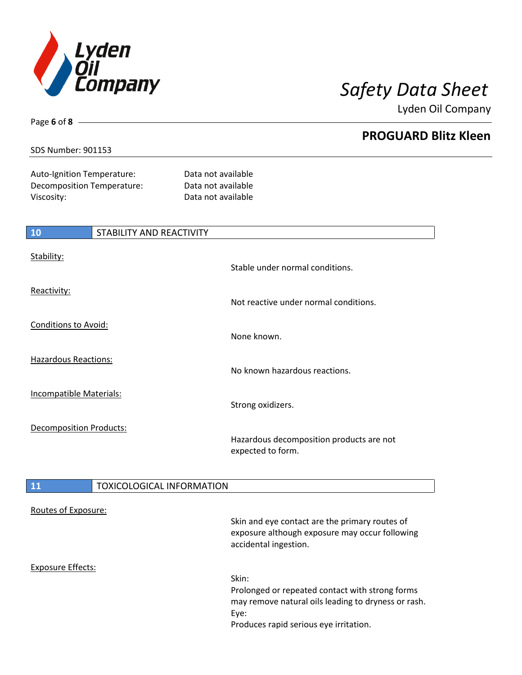

**PROGUARD Blitz Kleen**

Lyden Oil Company

### SDS Number: 901153

Page **6** of **8**

 $\mathsf{l}$ 

Auto-Ignition Temperature: Data not available Decomposition Temperature: Data not available Viscosity: Data not available

| 10                             | <b>STABILITY AND REACTIVITY</b> |                                                               |
|--------------------------------|---------------------------------|---------------------------------------------------------------|
| Stability:                     |                                 | Stable under normal conditions.                               |
| Reactivity:                    |                                 | Not reactive under normal conditions.                         |
| <b>Conditions to Avoid:</b>    |                                 | None known.                                                   |
| <b>Hazardous Reactions:</b>    |                                 | No known hazardous reactions.                                 |
| <b>Incompatible Materials:</b> |                                 | Strong oxidizers.                                             |
| <b>Decomposition Products:</b> |                                 | Hazardous decomposition products are not<br>expected to form. |

## **11** TOXICOLOGICAL INFORMATION

| Routes of Exposure: | Skin and eye contact are the primary routes of<br>exposure although exposure may occur following<br>accidental ingestion.                                         |
|---------------------|-------------------------------------------------------------------------------------------------------------------------------------------------------------------|
| Exposure Effects:   | Skin:<br>Prolonged or repeated contact with strong forms<br>may remove natural oils leading to dryness or rash.<br>Eye:<br>Produces rapid serious eye irritation. |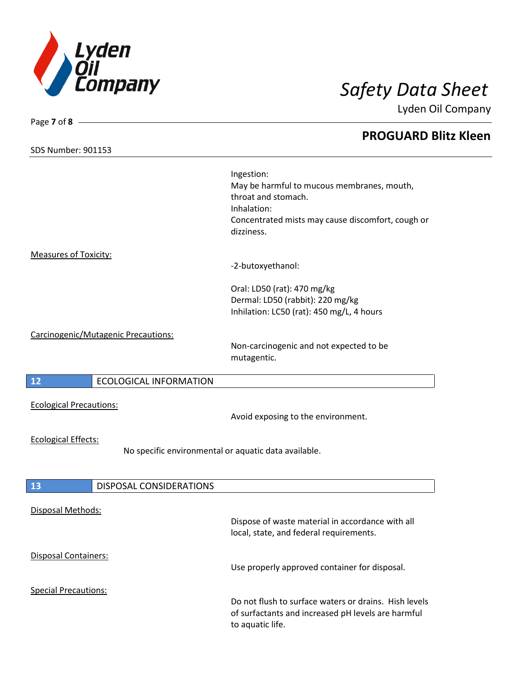

Page **7** of **8**

Lyden Oil Company

# **PROGUARD Blitz Kleen** SDS Number: 901153 Ingestion: May be harmful to mucous membranes, mouth, throat and stomach. Inhalation: Concentrated mists may cause discomfort, cough or dizziness. Measures of Toxicity: -2-butoxyethanol: Oral: LD50 (rat): 470 mg/kg Dermal: LD50 (rabbit): 220 mg/kg Inhilation: LC50 (rat): 450 mg/L, 4 hours Carcinogenic/Mutagenic Precautions: Non-carcinogenic and not expected to be mutagentic. **12** ECOLOGICAL INFORMATION Ecological Precautions: Avoid exposing to the environment. Ecological Effects: No specific environmental or aquatic data available. **13** DISPOSAL CONSIDERATIONS Disposal Methods: Dispose of waste material in accordance with all local, state, and federal requirements. Disposal Containers: Use properly approved container for disposal. Special Precautions: Do not flush to surface waters or drains. Hish levels of surfactants and increased pH levels are harmful

to aquatic life.